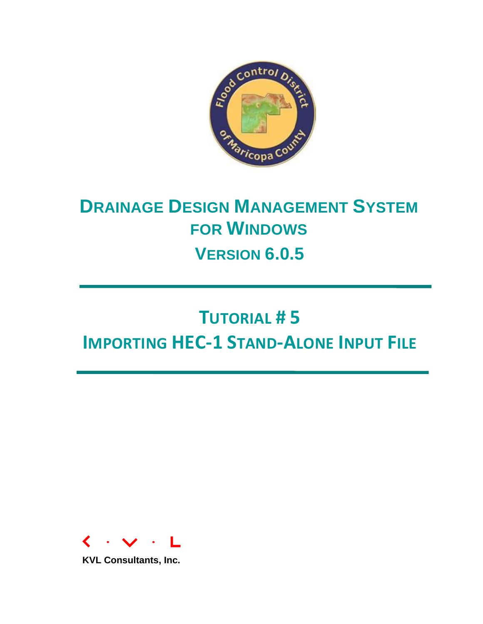

## **DRAINAGE DESIGN MANAGEMENT SYSTEM FOR WINDOWS VERSION 6.0.5**

# **TUTORIAL # 5 IMPORTING HEC-1 STAND-ALONE INPUT FILE**



**KVL Consultants, Inc.**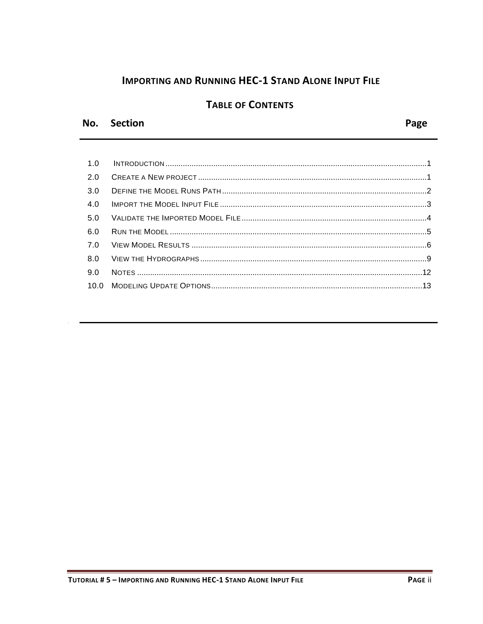## **IMPORTING AND RUNNING HEC-1 STAND ALONE INPUT FILE**

## **TABLE OF CONTENTS**

## No. Section

Page

| 1.0 |  |
|-----|--|
| 2.0 |  |
| 3.0 |  |
| 4.0 |  |
|     |  |
| 6.0 |  |
|     |  |
|     |  |
| 9.0 |  |
|     |  |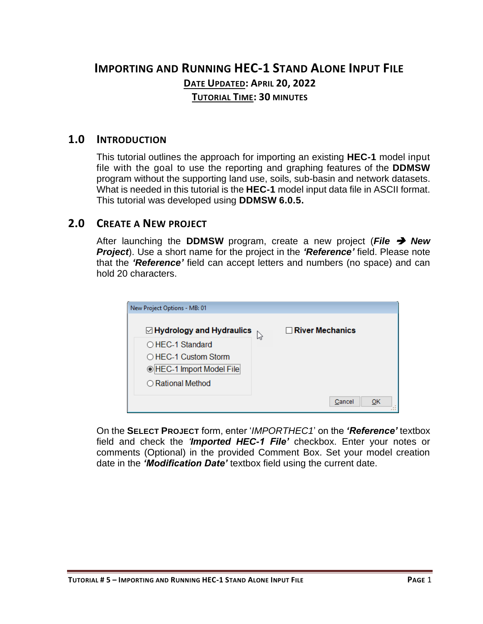## **IMPORTING AND RUNNING HEC-1 STAND ALONE INPUT FILE DATE UPDATED: APRIL 20, 2022 TUTORIAL TIME: 30 MINUTES**

### <span id="page-2-0"></span>**1.0 INTRODUCTION**

This tutorial outlines the approach for importing an existing **HEC-1** model input file with the goal to use the reporting and graphing features of the **DDMSW** program without the supporting land use, soils, sub-basin and network datasets. What is needed in this tutorial is the **HEC-1** model input data file in ASCII format. This tutorial was developed using **DDMSW 6.0.5.**

## <span id="page-2-1"></span>**2.0 CREATE A NEW PROJECT**

After launching the **DDMSW** program, create a new project (*File* ➔ *New Project*). Use a short name for the project in the *'Reference'* field. Please note that the *'Reference'* field can accept letters and numbers (no space) and can hold 20 characters.

| New Project Options - MB: 01       |                        |
|------------------------------------|------------------------|
| $\boxdot$ Hydrology and Hydraulics | $\Box$ River Mechanics |
| $\bigcirc$ HEC-1 Standard          | N2                     |
| $\bigcirc$ HEC-1 Custom Storm      |                        |
| ◉ HEC-1 Import Model File          |                        |
| $\bigcirc$ Rational Method         |                        |
|                                    |                        |
|                                    | Cancel<br>ОК           |

On the **SELECT PROJECT** form, enter '*IMPORTHEC1*' on the *'Reference'* textbox field and check the *'Imported HEC-1 File'* checkbox. Enter your notes or comments (Optional) in the provided Comment Box. Set your model creation date in the *'Modification Date'* textbox field using the current date.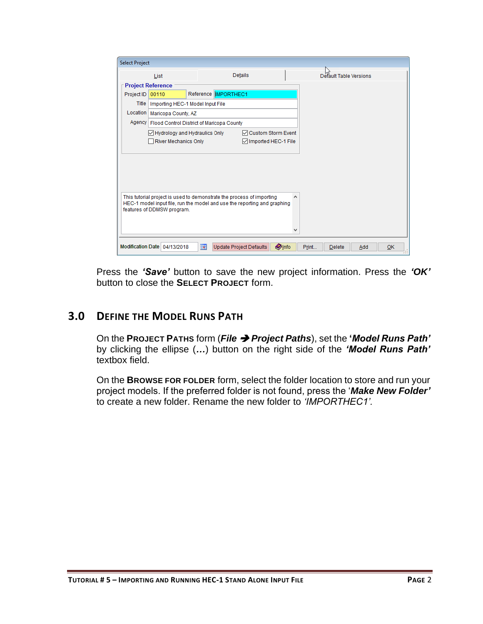| <b>Select Project</b> |                                                                                                        |                          |                        |                         |               |   |       |                        |     |    |
|-----------------------|--------------------------------------------------------------------------------------------------------|--------------------------|------------------------|-------------------------|---------------|---|-------|------------------------|-----|----|
|                       | List                                                                                                   |                          |                        | Details                 |               |   |       | Default Table Versions |     |    |
|                       | <b>Project Reference</b>                                                                               |                          |                        |                         |               |   |       |                        |     |    |
| Project ID            | 00110                                                                                                  |                          | Reference   IMPORTHEC1 |                         |               |   |       |                        |     |    |
| Title                 | Importing HEC-1 Model Input File                                                                       |                          |                        |                         |               |   |       |                        |     |    |
| Location              | Maricopa County, AZ                                                                                    |                          |                        |                         |               |   |       |                        |     |    |
|                       | Agency   Flood Control District of Maricopa County                                                     |                          |                        |                         |               |   |       |                        |     |    |
|                       | Hydrology and Hydraulics Only                                                                          |                          |                        | ○ Custom Storm Event    |               |   |       |                        |     |    |
|                       | River Mechanics Only                                                                                   |                          |                        | Imported HEC-1 File     |               |   |       |                        |     |    |
|                       |                                                                                                        |                          |                        |                         |               |   |       |                        |     |    |
|                       |                                                                                                        |                          |                        |                         |               |   |       |                        |     |    |
|                       |                                                                                                        |                          |                        |                         |               |   |       |                        |     |    |
|                       |                                                                                                        |                          |                        |                         |               |   |       |                        |     |    |
|                       |                                                                                                        |                          |                        |                         |               |   |       |                        |     |    |
|                       | This tutorial project is used to demonstrate the process of importing                                  |                          |                        |                         |               | Α |       |                        |     |    |
|                       | HEC-1 model input file, run the model and use the reporting and graphing<br>features of DDMSW program. |                          |                        |                         |               |   |       |                        |     |    |
|                       |                                                                                                        |                          |                        |                         |               |   |       |                        |     |    |
|                       |                                                                                                        |                          |                        |                         |               |   |       |                        |     |    |
|                       |                                                                                                        |                          |                        |                         |               |   |       |                        |     |    |
|                       | Modification Date 04/13/2018                                                                           | $\overline{\phantom{a}}$ |                        | Update Project Defaults | <b>O</b> Info |   | Print | <b>Delete</b>          | Add | OK |
|                       |                                                                                                        |                          |                        |                         |               |   |       |                        |     |    |

Press the *'Save'* button to save the new project information. Press the *'OK'* button to close the **SELECT PROJECT** form.

## <span id="page-3-0"></span>**3.0 DEFINE THE MODEL RUNS PATH**

On the **PROJECT PATHS** form (*File* ➔ *Project Paths*), set the **'***Model Runs Path'* by clicking the ellipse (*…*) button on the right side of the *'Model Runs Path'*  textbox field.

On the **BROWSE FOR FOLDER** form, select the folder location to store and run your project models. If the preferred folder is not found, press the '*Make New Folder'*  to create a new folder. Rename the new folder to *'IMPORTHEC1'.*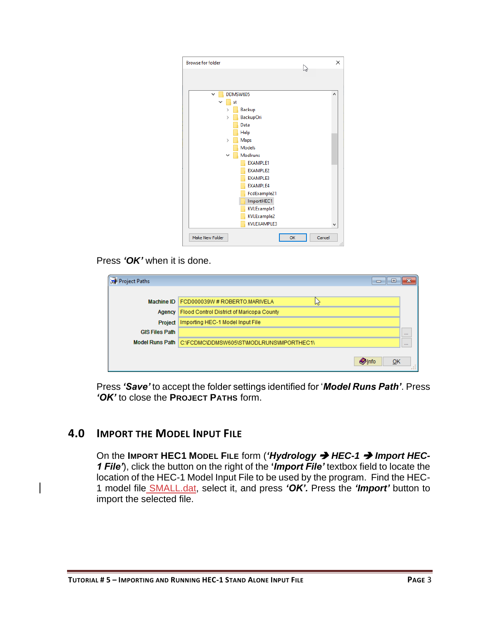

#### Press *'OK'* when it is done.

| Project Paths         | 16 O<br>$\Box$                            | X        |
|-----------------------|-------------------------------------------|----------|
|                       |                                           |          |
| Machine ID            | FCD000039W#ROBERTO.MARIVELA<br>lл         |          |
| Agency                | Flood Control District of Maricopa County |          |
| Project               | Importing HEC-1 Model Input File          |          |
| <b>GIS Files Path</b> |                                           | $\cdots$ |
| Model Runs Path       | C:\FCDMC\DDMSW605\ST\MODLRUNS\IMPORTHEC1\ | $\cdots$ |
|                       |                                           |          |
|                       | $Q$ Info<br>OK                            |          |

Press *'Save'* to accept the folder settings identified for '*Model Runs Path'*. Press *'OK'* to close the **PROJECT PATHS** form.

#### <span id="page-4-0"></span>**4.0 IMPORT THE MODEL INPUT FILE**

On the **IMPORT HEC1 MODEL FILE** form (*'Hydrology* ➔ *HEC-1* ➔ *Import HEC-1 File'*), click the button on the right of the **'***Import File'* textbox field to locate the location of the HEC-1 Model Input File to be used by the program. Find the HEC-1 model file SMALL.dat, select it, and press *'OK'.* Press the *'Import'* button to import the selected file.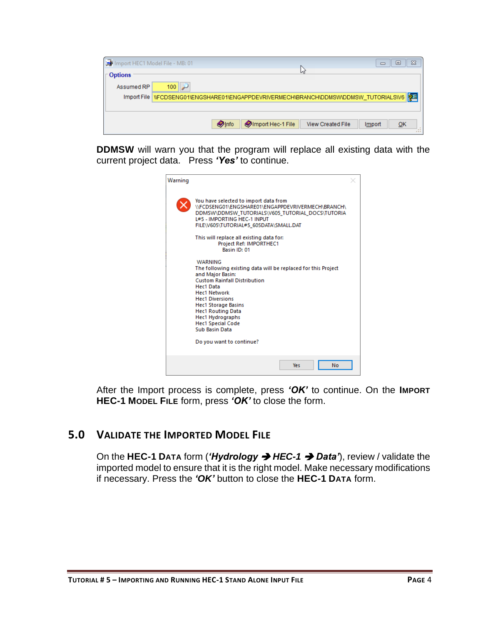| <b>B</b>         | $\Sigma$<br>Import HEC1 Model File - MB: 01<br>回                                     |
|------------------|--------------------------------------------------------------------------------------|
| <b>⊺ Options</b> | lл                                                                                   |
| Assumed RP       | 100                                                                                  |
|                  | Import File NFCDSENG01\ENGSHARE01\ENGAPPDEVRIVERMECH\BRANCH\DDMSW\DDMSW_TUTORIALS\V6 |
|                  |                                                                                      |
|                  | <b>Olnfo</b><br>Import Hec-1 File<br><b>View Created File</b><br>QK<br>Import<br>ш   |

**DDMSW** will warn you that the program will replace all existing data with the current project data. Press *'Yes'* to continue.

| Warning |                                                                                                                                                                                                                                                                                                              |  |  |  |  |  |  |  |
|---------|--------------------------------------------------------------------------------------------------------------------------------------------------------------------------------------------------------------------------------------------------------------------------------------------------------------|--|--|--|--|--|--|--|
|         | You have selected to import data from<br>\\FCDSENG01\ENGSHARE01\ENGAPPDEVRIVERMECH\BRANCH\<br>DDMSW\DDMSW_TUTORIALS\V605_TUTORIAL_DOCS\TUTORIA<br><b>L#5 - IMPORTING HEC-1 INPUT</b><br>FILE\V605\TUTORIAL#5 605DATA\SMALL.DAT<br>This will replace all existing data for:<br><b>Project Ref: IMPORTHEC1</b> |  |  |  |  |  |  |  |
|         | Basin ID: 01<br><b>WARNING</b>                                                                                                                                                                                                                                                                               |  |  |  |  |  |  |  |
|         | The following existing data will be replaced for this Project<br>and Major Basin:<br><b>Custom Rainfall Distribution</b><br>Hec1 Data                                                                                                                                                                        |  |  |  |  |  |  |  |
|         | <b>Hec1 Network</b><br><b>Hec1 Diversions</b><br><b>Hec1 Storage Basins</b><br><b>Hec1 Routing Data</b>                                                                                                                                                                                                      |  |  |  |  |  |  |  |
|         | <b>Hec1 Hydrographs</b><br><b>Hec1 Special Code</b><br><b>Sub Basin Data</b>                                                                                                                                                                                                                                 |  |  |  |  |  |  |  |
|         | Do you want to continue?                                                                                                                                                                                                                                                                                     |  |  |  |  |  |  |  |
|         | <b>Yes</b><br>No                                                                                                                                                                                                                                                                                             |  |  |  |  |  |  |  |

After the Import process is complete, press *'OK'* to continue. On the **IMPORT HEC-1 MODEL FILE** form, press *'OK'* to close the form.

## <span id="page-5-0"></span>**5.0 VALIDATE THE IMPORTED MODEL FILE**

On the **HEC-1 DATA** form (*'Hydrology* ➔ *HEC-1* ➔ *Data'*), review / validate the imported model to ensure that it is the right model. Make necessary modifications if necessary. Press the *'OK'* button to close the **HEC-1 DATA** form.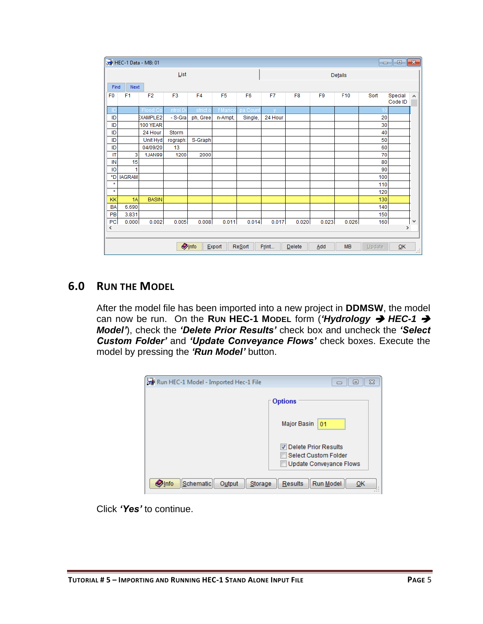|                |                | HEC-1 Data - MB: 01 |                |                |                |                |         |                |                |           |        | $\begin{array}{c c c c c c} \hline \multicolumn{3}{c }{\mathbf{C}} & \multicolumn{3}{c }{\mathbf{S}} & \multicolumn{3}{c }{\mathbf{X}} \end{array}$ |   |
|----------------|----------------|---------------------|----------------|----------------|----------------|----------------|---------|----------------|----------------|-----------|--------|-----------------------------------------------------------------------------------------------------------------------------------------------------|---|
|                |                |                     | List           |                |                |                | Details |                |                |           |        |                                                                                                                                                     |   |
|                | Next<br>Find   |                     |                |                |                |                |         |                |                |           |        |                                                                                                                                                     |   |
| F <sub>0</sub> | F <sub>1</sub> | F <sub>2</sub>      | F <sub>3</sub> | F <sub>4</sub> | F <sub>5</sub> | F <sub>6</sub> | F7      | F <sub>8</sub> | F <sub>9</sub> | F10       | Sort   | Special<br>Code ID                                                                                                                                  | A |
| ID             |                | Flood Co            | ntrol Di       | strict o       | f Maric        | pa Count       |         |                |                |           |        |                                                                                                                                                     |   |
| ID             |                | <b>EXAMPLE2</b>     | - S-Gra        | ph, Gree       | n-Ampt,        | Single,        | 24 Hour |                |                |           | 20     |                                                                                                                                                     |   |
| ID             |                | 100 YEAR            |                |                |                |                |         |                |                |           | 30     |                                                                                                                                                     |   |
| ID             |                | 24 Hour             | <b>Storm</b>   |                |                |                |         |                |                |           | 40     |                                                                                                                                                     |   |
| ID             |                | Unit Hyd            | rograph:       | S-Graph        |                |                |         |                |                |           | 50     |                                                                                                                                                     |   |
| ID             |                | 04/09/20            | 13             |                |                |                |         |                |                |           | 60     |                                                                                                                                                     |   |
| IT             | 3              | 1JAN99              | 1200           | 2000           |                |                |         |                |                |           | 70     |                                                                                                                                                     |   |
| IN             | 15             |                     |                |                |                |                |         |                |                |           | 80     |                                                                                                                                                     |   |
| 10             | 1              |                     |                |                |                |                |         |                |                |           | 90     |                                                                                                                                                     |   |
| *D             | <b>IAGRAM</b>  |                     |                |                |                |                |         |                |                |           | 100    |                                                                                                                                                     |   |
| $\star$        |                |                     |                |                |                |                |         |                |                |           | 110    |                                                                                                                                                     |   |
| $\star$        |                |                     |                |                |                |                |         |                |                |           | 120    |                                                                                                                                                     |   |
| KK             | 1A             | <b>BASIN</b>        |                |                |                |                |         |                |                |           | 130    |                                                                                                                                                     |   |
| <b>BA</b>      | 6.690          |                     |                |                |                |                |         |                |                |           | 140    |                                                                                                                                                     |   |
| PB             | 3.831          |                     |                |                |                |                |         |                |                |           | 150    |                                                                                                                                                     |   |
| PC             | 0.000          | 0.002               | 0.005          | 0.008          | 0.011          | 0.014          | 0.017   | 0.020          | 0.023          | 0.026     | 160    |                                                                                                                                                     | ٧ |
| $\,<$          |                |                     |                |                |                |                |         |                |                |           |        | $\,$                                                                                                                                                |   |
|                |                |                     |                |                |                |                |         |                |                |           |        |                                                                                                                                                     |   |
|                |                |                     |                | <b>O</b> Info  | Export         | ReSort         | Print   | <b>Delete</b>  | Add            | <b>MB</b> | Update | QK                                                                                                                                                  | ы |

## <span id="page-6-0"></span>**6.0 RUN THE MODEL**

After the model file has been imported into a new project in **DDMSW**, the model can now be run. On the **RUN HEC-1 MODEL** form (*'Hydrology* ➔ *HEC-1* ➔ *Model'*), check the *'Delete Prior Results'* check box and uncheck the *'Select Custom Folder'* and *'Update Conveyance Flows'* check boxes. Execute the model by pressing the *'Run Model'* button.

| Run HEC-1 Model - Imported Hec-1 File           | $\Sigma$<br>▣                                                                         |
|-------------------------------------------------|---------------------------------------------------------------------------------------|
|                                                 | <b>Options</b>                                                                        |
|                                                 | <b>Major Basin</b><br>01                                                              |
|                                                 | Delete Prior Results<br><b>Select Custom Folder</b><br><b>Update Conveyance Flows</b> |
| Schematic<br>Storage<br>Output<br><b>O</b> lnfo | Run Model<br><b>Results</b><br>OK                                                     |

Click *'Yes'* to continue.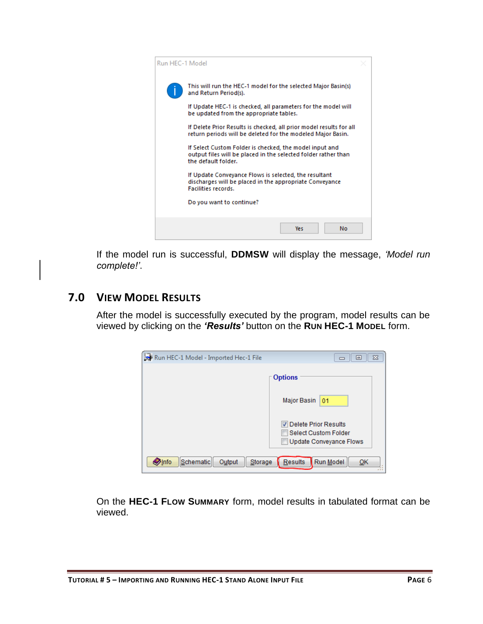

If the model run is successful, **DDMSW** will display the message, *'Model run complete!'*.

## <span id="page-7-0"></span>**7.0 VIEW MODEL RESULTS**

After the model is successfully executed by the program, model results can be viewed by clicking on the *'Results'* button on the **RUN HEC-1 MODEL** form.

| Run HEC-1 Model - Imported Hec-1 File           | 23<br>▣                                                                               |
|-------------------------------------------------|---------------------------------------------------------------------------------------|
|                                                 | <b>Options</b>                                                                        |
|                                                 | <b>Major Basin</b><br>01                                                              |
|                                                 | Delete Prior Results<br><b>Select Custom Folder</b><br><b>Update Conveyance Flows</b> |
| Schematic<br>Storage<br><b>O</b> Info<br>Output | Run Model<br>Results<br>OK                                                            |

On the **HEC-1 FLOW SUMMARY** form, model results in tabulated format can be viewed.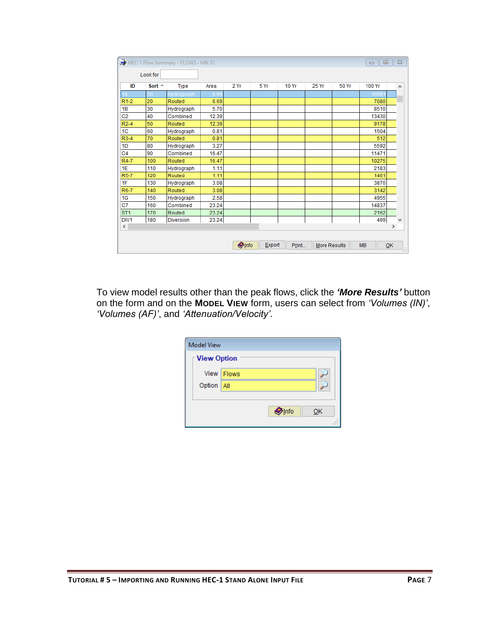|                   | Look for         |                  |       |      |      |       |       |       |        |               |   |
|-------------------|------------------|------------------|-------|------|------|-------|-------|-------|--------|---------------|---|
| ID                | Sort $\triangle$ | <b>Type</b>      | Area  | 2 Yr | 5 Yr | 10 Yr | 25 Yr | 50 Yr | 100 Yr |               | ۸ |
|                   | 10               | Hydrograph       | 6.6   |      |      |       |       |       | 1068   |               |   |
| R <sub>1-2</sub>  | 20               | Routed           | 6.69  |      |      |       |       |       | 7080   |               |   |
| 1B                | 30               | Hydrograph       | 5.70  |      |      |       |       |       | 8510   |               |   |
| C <sub>2</sub>    | 40               | Combined         | 12.39 |      |      |       |       |       | 13430  |               |   |
| $R2-4$            | 50               | Routed           | 12.39 |      |      |       |       |       | 9178   |               |   |
| 1C                | 60               | Hydrograph       | 0.81  |      |      |       |       |       | 1504   |               |   |
| $R3-4$            | 70               | Routed           | 0.81  |      |      |       |       |       | 512    |               |   |
| 1D                | 80               | Hydrograph       | 3.27  |      |      |       |       |       | 5592   |               |   |
| C <sub>4</sub>    | 90               | Combined         | 16.47 |      |      |       |       |       | 11471  |               |   |
| R4-7              | 100              | Routed           | 16.47 |      |      |       |       |       | 10275  |               |   |
| 1E                | 110              | Hydrograph       | 1.11  |      |      |       |       |       | 2183   |               |   |
| R <sub>5</sub> -7 | 120              | Routed           | 1.11  |      |      |       |       |       | 1461   |               |   |
| 1F                | 130              | Hydrograph       | 3.08  |      |      |       |       |       | 3870   |               |   |
| R6-7              | 140              | Routed           | 3.08  |      |      |       |       |       | 3142   |               |   |
| 1G                | 150              | Hydrograph       | 2.58  |      |      |       |       |       | 4955   |               |   |
| C7                | 160              | Combined         | 23.24 |      |      |       |       |       | 14837  |               |   |
| ST <sub>1</sub>   | 170              | Routed           | 23.24 |      |      |       |       |       | 2162   |               |   |
| DIV <sub>1</sub>  | 180              | <b>Diversion</b> | 23.24 |      |      |       |       |       | 499    |               | v |
| $\hat{~}$         |                  |                  |       |      |      |       |       |       |        | $\rightarrow$ |   |

To view model results other than the peak flows, click the *'More Results'* button on the form and on the **MODEL VIEW** form, users can select from *'Volumes (IN)'*, *'Volumes (AF)'*, and *'Attenuation/Velocity'*.

| <b>Model View</b>   |              |               |  |    |  |  |  |  |  |
|---------------------|--------------|---------------|--|----|--|--|--|--|--|
| <b>⊺View Option</b> |              |               |  |    |  |  |  |  |  |
|                     | View   Flows |               |  |    |  |  |  |  |  |
| Option   All        |              |               |  |    |  |  |  |  |  |
|                     |              |               |  |    |  |  |  |  |  |
|                     |              | <b>O</b> Info |  | QK |  |  |  |  |  |
|                     |              |               |  |    |  |  |  |  |  |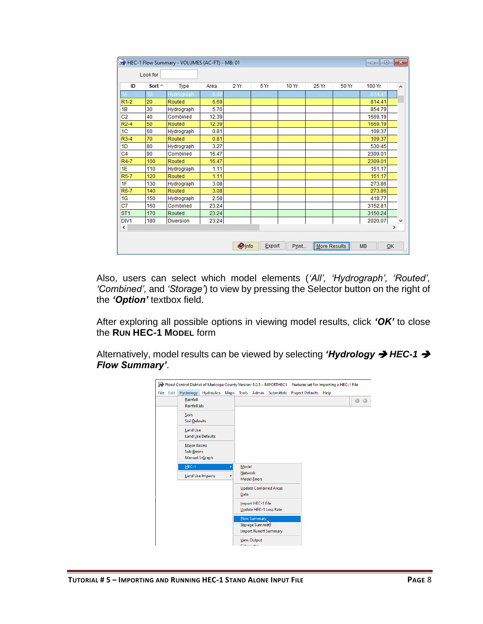|                   |                  | HEC-1 Flow Summary - VOLUMES (AC-FT) - MB: 01 |       |               |        |              |              |       | $\begin{array}{c c c c c c} \hline \multicolumn{3}{c }{\mathbf{C}} & \multicolumn{3}{c }{\mathbf{C}} & \multicolumn{3}{c }{\mathbf{X}} \\\hline \multicolumn{3}{c }{\mathbf{C}} & \multicolumn{3}{c }{\mathbf{C}} & \multicolumn{3}{c }{\mathbf{S}} & \multicolumn{3}{c }{\mathbf{X}} \\\hline \multicolumn{3}{c }{\mathbf{C}} & \multicolumn{3}{c }{\mathbf{C}} & \multicolumn{3}{c }{\mathbf{S}} & \multicolumn{3}{c }{\mathbf{S}} \\\hline \multicolumn$ |               |                       |
|-------------------|------------------|-----------------------------------------------|-------|---------------|--------|--------------|--------------|-------|-------------------------------------------------------------------------------------------------------------------------------------------------------------------------------------------------------------------------------------------------------------------------------------------------------------------------------------------------------------------------------------------------------------------------------------------------------------|---------------|-----------------------|
|                   | Look for         |                                               |       |               |        |              |              |       |                                                                                                                                                                                                                                                                                                                                                                                                                                                             |               |                       |
| ID                | Sort $\triangle$ | <b>Type</b>                                   | Area  | 2Yr           | 5 Yr   | <b>10 Yr</b> | 25 Yr        | 50 Yr | 100 Yr                                                                                                                                                                                                                                                                                                                                                                                                                                                      |               | $\boldsymbol{\wedge}$ |
|                   |                  | Hydrograph                                    | 6.6   |               |        |              |              |       | 814                                                                                                                                                                                                                                                                                                                                                                                                                                                         |               |                       |
| $R1-2$            | 20               | Routed                                        | 6.69  |               |        |              |              |       | 814.41                                                                                                                                                                                                                                                                                                                                                                                                                                                      |               |                       |
| 1B                | 30               | Hydrograph                                    | 5.70  |               |        |              |              |       | 854.79                                                                                                                                                                                                                                                                                                                                                                                                                                                      |               |                       |
| C <sub>2</sub>    | 40               | Combined                                      | 12.39 |               |        |              |              |       | 1669.19                                                                                                                                                                                                                                                                                                                                                                                                                                                     |               |                       |
| $R2-4$            | 50               | Routed                                        | 12.39 |               |        |              |              |       | 1669.19                                                                                                                                                                                                                                                                                                                                                                                                                                                     |               |                       |
| 1C                | 60               | Hydrograph                                    | 0.81  |               |        |              |              |       | 109.37                                                                                                                                                                                                                                                                                                                                                                                                                                                      |               |                       |
| $R3-4$            | 70               | Routed                                        | 0.81  |               |        |              |              |       | 109.37                                                                                                                                                                                                                                                                                                                                                                                                                                                      |               |                       |
| 1D                | 80               | Hydrograph                                    | 3.27  |               |        |              |              |       | 530.45                                                                                                                                                                                                                                                                                                                                                                                                                                                      |               |                       |
| C <sub>4</sub>    | 90               | Combined                                      | 16.47 |               |        |              |              |       | 2309.01                                                                                                                                                                                                                                                                                                                                                                                                                                                     |               |                       |
| R4-7              | 100              | Routed                                        | 16.47 |               |        |              |              |       | 2309.01                                                                                                                                                                                                                                                                                                                                                                                                                                                     |               |                       |
| 1E                | 110              | Hydrograph                                    | 1.11  |               |        |              |              |       | 151.17                                                                                                                                                                                                                                                                                                                                                                                                                                                      |               |                       |
| R <sub>5</sub> -7 | 120              | Routed                                        | 1.11  |               |        |              |              |       | 151.17                                                                                                                                                                                                                                                                                                                                                                                                                                                      |               |                       |
| 1F                | 130              | Hydrograph                                    | 3.08  |               |        |              |              |       | 273.86                                                                                                                                                                                                                                                                                                                                                                                                                                                      |               |                       |
| R6-7              | 140              | Routed                                        | 3.08  |               |        |              |              |       | 273.86                                                                                                                                                                                                                                                                                                                                                                                                                                                      |               |                       |
| 1G                | 150              | Hydrograph                                    | 2.58  |               |        |              |              |       | 418.77                                                                                                                                                                                                                                                                                                                                                                                                                                                      |               |                       |
| C7                | 160              | Combined                                      | 23.24 |               |        |              |              |       | 3152.81                                                                                                                                                                                                                                                                                                                                                                                                                                                     |               |                       |
| ST <sub>1</sub>   | 170              | Routed                                        | 23.24 |               |        |              |              |       | 3150.24                                                                                                                                                                                                                                                                                                                                                                                                                                                     |               |                       |
| DIV <sub>1</sub>  | 180              | <b>Diversion</b>                              | 23.24 |               |        |              |              |       | 2020.07                                                                                                                                                                                                                                                                                                                                                                                                                                                     |               | $\forall$             |
| $\,<\,$           |                  |                                               |       |               |        |              |              |       |                                                                                                                                                                                                                                                                                                                                                                                                                                                             | $\rightarrow$ |                       |
|                   |                  |                                               |       | <b>O</b> Info | Export | Print        | More Results |       | <b>MB</b>                                                                                                                                                                                                                                                                                                                                                                                                                                                   | QK            | w                     |

Also, users can select which model elements (*'All', 'Hydrograph', 'Routed', 'Combined',* and *'Storage'*) to view by pressing the Selector button on the right of the *'Option'* textbox field.

After exploring all possible options in viewing model results, click *'OK'* to close the **RUN HEC-1 MODEL** form

Alternatively, model results can be viewed by selecting *'Hydrology* ➔ *HEC-1* ➔ *Flow Summary'*.

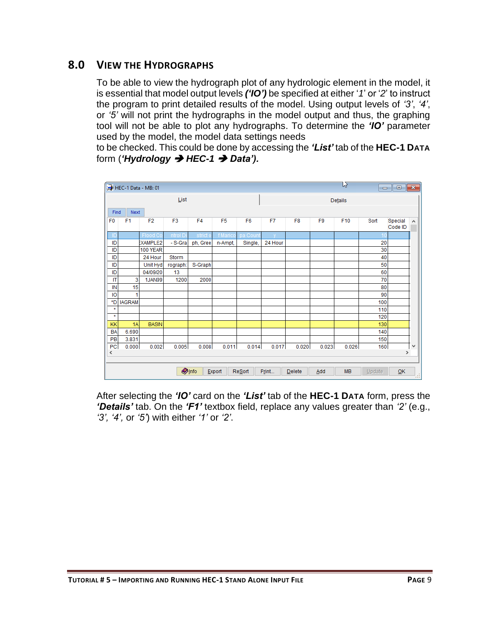## <span id="page-10-0"></span>**8.0 VIEW THE HYDROGRAPHS**

To be able to view the hydrograph plot of any hydrologic element in the model, it is essential that model output levels *('IO')* be specified at either '*1*' or '*2*' to instruct the program to print detailed results of the model. Using output levels of *'3'*, *'4'*, or *'5'* will not print the hydrographs in the model output and thus, the graphing tool will not be able to plot any hydrographs. To determine the *'IO'* parameter used by the model, the model data settings needs

to be checked. This could be done by accessing the *'List'* tab of the **HEC-1 DATA** form (*'Hydrology* ➔ *HEC-1* ➔ *Data').*

|                |                                                                                                       | HEC-1 Data - MB: 01 |                |                |                |                |         |                |                | ľź    | $\Box$ | -9                 | $\ x\ $ |
|----------------|-------------------------------------------------------------------------------------------------------|---------------------|----------------|----------------|----------------|----------------|---------|----------------|----------------|-------|--------|--------------------|---------|
|                |                                                                                                       |                     | List           |                |                |                | Details |                |                |       |        |                    |         |
|                | Next<br>Find                                                                                          |                     |                |                |                |                |         |                |                |       |        |                    |         |
| F <sub>0</sub> | F <sub>1</sub>                                                                                        | F <sub>2</sub>      | F <sub>3</sub> | F <sub>4</sub> | F <sub>5</sub> | F <sub>6</sub> | F7      | F <sub>8</sub> | F <sub>9</sub> | F10   | Sort   | Special<br>Code ID | ۸       |
| ID             |                                                                                                       | Flood Co            | ntrol D        | strict o       | f Marico       | pa Count       |         |                |                |       |        |                    |         |
| ID             |                                                                                                       | <b>EXAMPLE2</b>     | - S-Gra        | ph, Gree       | n-Ampt,        | Single,        | 24 Hour |                |                |       | 20     |                    |         |
| ID             |                                                                                                       | <b>100 YEAR</b>     |                |                |                |                |         |                |                |       | 30     |                    |         |
| ID             |                                                                                                       | 24 Hour             | Storm          |                |                |                |         |                |                |       | 40     |                    |         |
| ID             |                                                                                                       | Unit Hyd            | rograph:       | S-Graph        |                |                |         |                |                |       | 50     |                    |         |
| ID             |                                                                                                       | 04/09/20            | 13             |                |                |                |         |                |                |       | 60     |                    |         |
| IT             | 3                                                                                                     | <b>1JAN99</b>       | 1200           | 2000           |                |                |         |                |                |       | 70     |                    |         |
| IN             | 15                                                                                                    |                     |                |                |                |                |         |                |                |       | 80     |                    |         |
| IO             | 1                                                                                                     |                     |                |                |                |                |         |                |                |       | 90     |                    |         |
| *D             | <b>IAGRAM</b>                                                                                         |                     |                |                |                |                |         |                |                |       | 100    |                    |         |
| $\star$        |                                                                                                       |                     |                |                |                |                |         |                |                |       | 110    |                    |         |
| $\star$        |                                                                                                       |                     |                |                |                |                |         |                |                |       | 120    |                    |         |
| KK             | 1A                                                                                                    | <b>BASIN</b>        |                |                |                |                |         |                |                |       | 130    |                    |         |
| BA             | 6.690                                                                                                 |                     |                |                |                |                |         |                |                |       | 140    |                    |         |
| PB             | 3.831                                                                                                 |                     |                |                |                |                |         |                |                |       | 150    |                    |         |
| PC             | 0.000                                                                                                 | 0.002               | 0.005          | 0.008          | 0.011          | 0.014          | 0.017   | 0.020          | 0.023          | 0.026 | 160    |                    | ٧       |
|                | $\,<$<br>Y.                                                                                           |                     |                |                |                |                |         |                |                |       |        |                    |         |
|                |                                                                                                       |                     |                |                |                |                |         |                |                |       |        |                    |         |
|                | <b>O</b> Info<br><b>MB</b><br>Export<br><b>Resort</b><br>Print<br>Add<br>QK<br>Delete<br>Update<br>53 |                     |                |                |                |                |         |                |                |       |        |                    |         |

After selecting the *'IO'* card on the *'List'* tab of the **HEC-1 DATA** form, press the *'Details'* tab. On the *'F1'* textbox field, replace any values greater than *'2'* (e.g., *'3', '4',* or *'5'*) with either *'1'* or *'2'*.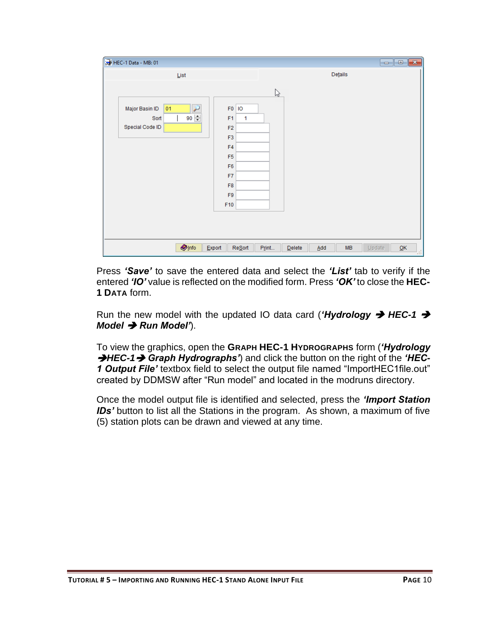| HEC-1 Data - MB: 01                                                                                                                                                                                                                                    | $\begin{array}{c c c c c} \hline \multicolumn{3}{c }{\textbf{}} & \multicolumn{3}{c }{\textbf{}} & \multicolumn{3}{c }{\textbf{}} \end{array}$ |
|--------------------------------------------------------------------------------------------------------------------------------------------------------------------------------------------------------------------------------------------------------|------------------------------------------------------------------------------------------------------------------------------------------------|
| List                                                                                                                                                                                                                                                   | Details                                                                                                                                        |
| ₽<br>Major Basin ID<br>F0 10<br>01<br>90 $\left  \div \right $<br>F <sub>1</sub><br>Sort<br>Special Code ID<br>F <sub>2</sub><br>F <sub>3</sub><br>F <sub>4</sub><br>F <sub>5</sub><br>F <sub>6</sub><br>F7<br>F <sub>8</sub><br>F <sub>9</sub><br>F10 | $\mathbb{Z}$<br>1                                                                                                                              |
| $\bigcirc$ Info<br>Export                                                                                                                                                                                                                              | <b>Resort</b><br>MB<br>Print<br>$\underline{\mathsf{O}}\mathsf{K}$<br>$D$ elete<br>Add<br>Update<br>53                                         |

Press *'Save'* to save the entered data and select the *'List'* tab to verify if the entered *'IO'* value is reflected on the modified form. Press *'OK'* to close the **HEC-1 DATA** form.

Run the new model with the updated IO data card (*'Hydrology* ➔ *HEC-1* ➔ *Model* ➔ *Run Model'*).

To view the graphics, open the **GRAPH HEC-1 HYDROGRAPHS** form (*'Hydrology*  ➔*HEC-1*➔ *Graph Hydrographs'*) and click the button on the right of the *'HEC-1 Output File'* textbox field to select the output file named "ImportHEC1file.out" created by DDMSW after "Run model" and located in the modruns directory.

Once the model output file is identified and selected, press the *'Import Station*  **IDs'** button to list all the Stations in the program. As shown, a maximum of five (5) station plots can be drawn and viewed at any time.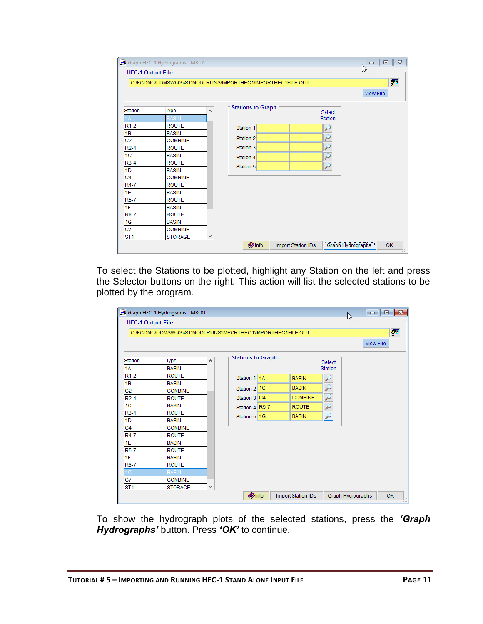| <b>HEC-1 Output File</b> |                |         | C:\FCDMC\DDMSW605\ST\MODLRUNS\IMPORTHEC1\IMPORTHEC1FILE.OUT | 徑                        |
|--------------------------|----------------|---------|-------------------------------------------------------------|--------------------------|
|                          |                |         |                                                             | <b>View File</b>         |
| Station                  | Type           | $\land$ | <b>Stations to Graph</b>                                    | Select                   |
|                          | <b>BASIN</b>   |         |                                                             | <b>Station</b>           |
| $R1-2$                   | <b>ROUTE</b>   |         | Station 1                                                   | لئو                      |
| 1B                       | <b>BASIN</b>   |         |                                                             |                          |
| C <sub>2</sub>           | <b>COMBINE</b> |         | Station 2                                                   | ₽                        |
| $R2-4$                   | <b>ROUTE</b>   |         | Station 3                                                   | $\overline{\mathcal{P}}$ |
| 1 <sup>C</sup>           | <b>BASIN</b>   |         | Station 4                                                   | ₽                        |
| R3-4                     | <b>ROUTE</b>   |         |                                                             | $\overline{\rho}$        |
| 1D                       | <b>BASIN</b>   |         | Station 5                                                   |                          |
| C <sub>4</sub>           | <b>COMBINE</b> |         |                                                             |                          |
| R4-7                     | <b>ROUTE</b>   |         |                                                             |                          |
| 1E                       | <b>BASIN</b>   |         |                                                             |                          |
| <b>R5-7</b>              | <b>ROUTE</b>   |         |                                                             |                          |
| 1F                       | <b>BASIN</b>   |         |                                                             |                          |
| R6-7                     | <b>ROUTE</b>   |         |                                                             |                          |
| 1G                       | <b>BASIN</b>   |         |                                                             |                          |
| C7                       | <b>COMBINE</b> |         |                                                             |                          |
| ST <sub>1</sub>          | <b>STORAGE</b> | v       |                                                             |                          |

To select the Stations to be plotted, highlight any Station on the left and press the Selector buttons on the right. This action will list the selected stations to be plotted by the program.

| <b>HEC-1 Output File</b> |                                                             |   |                          |  |                           |                          | ß                 |           |
|--------------------------|-------------------------------------------------------------|---|--------------------------|--|---------------------------|--------------------------|-------------------|-----------|
|                          | C:\FCDMC\DDMSW605\ST\MODLRUNS\IMPORTHEC1\IMPORTHEC1FILE.OUT |   |                          |  |                           |                          |                   | 酒         |
|                          |                                                             |   |                          |  |                           |                          |                   |           |
|                          |                                                             |   |                          |  |                           |                          |                   | View File |
| Station                  |                                                             |   |                          |  |                           |                          |                   |           |
| 1A                       | <b>Type</b><br><b>BASIN</b>                                 | ۸ | Select<br><b>Station</b> |  |                           |                          |                   |           |
|                          |                                                             |   |                          |  |                           |                          |                   |           |
| $R1-2$                   | <b>ROUTE</b>                                                |   | Station 1 1A             |  | <b>BASIN</b>              | لتو                      |                   |           |
| 1B<br>C <sub>2</sub>     | <b>BASIN</b><br><b>COMBINE</b>                              |   | Station 2 1C             |  | <b>BASIN</b>              | لئو                      |                   |           |
| $R2-4$                   | <b>ROUTE</b>                                                |   | Station 3 C4             |  | <b>COMBINE</b>            | سن                       |                   |           |
|                          |                                                             |   |                          |  |                           |                          |                   |           |
| 1 <sup>C</sup>           | <b>BASIN</b>                                                |   | Station 4 R5-7           |  | <b>ROUTE</b>              | لسنى                     |                   |           |
| $R3-4$                   | <b>ROUTE</b>                                                |   | Station 5 1G             |  | <b>BASIN</b>              | $\overline{\mathcal{P}}$ |                   |           |
| 1D                       | <b>BASIN</b>                                                |   |                          |  |                           |                          |                   |           |
| C <sub>4</sub>           | <b>COMBINE</b>                                              |   |                          |  |                           |                          |                   |           |
| <b>R4-7</b>              | <b>ROUTE</b>                                                |   |                          |  |                           |                          |                   |           |
| 1E                       | <b>BASIN</b>                                                |   |                          |  |                           |                          |                   |           |
| <b>R5-7</b>              | <b>ROUTE</b>                                                |   |                          |  |                           |                          |                   |           |
| 1F                       | <b>BASIN</b>                                                |   |                          |  |                           |                          |                   |           |
| <b>R6-7</b>              | <b>ROUTE</b>                                                |   |                          |  |                           |                          |                   |           |
| 1G                       | <b>BASIN</b>                                                |   |                          |  |                           |                          |                   |           |
| C7                       | <b>COMBINE</b>                                              |   |                          |  |                           |                          |                   |           |
| ST <sub>1</sub>          | <b>STORAGE</b>                                              | v |                          |  |                           |                          |                   |           |
|                          |                                                             |   | <b>Olnfo</b>             |  | <b>Import Station IDs</b> |                          | Graph Hydrographs | QK        |

To show the hydrograph plots of the selected stations, press the *'Graph Hydrographs'* button. Press *'OK'* to continue.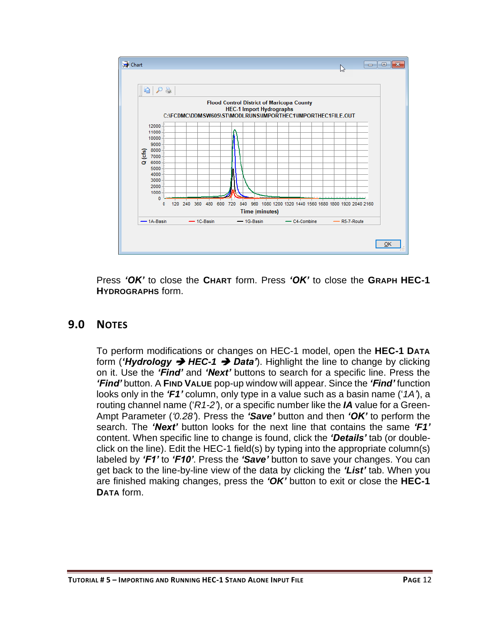

Press *'OK'* to close the **CHART** form. Press *'OK'* to close the **GRAPH HEC-1 HYDROGRAPHS** form.

## <span id="page-13-0"></span>**9.0 NOTES**

To perform modifications or changes on HEC-1 model, open the **HEC-1 DATA** form (*'Hydrology* ➔ *HEC-1* ➔ *Data'*). Highlight the line to change by clicking on it. Use the *'Find'* and *'Next'* buttons to search for a specific line. Press the *'Find'* button. A **FIND VALUE** pop-up window will appear. Since the *'Find'* function looks only in the *'F1'* column, only type in a value such as a basin name ('*1A'*), a routing channel name ('*R1-2'*), or a specific number like the *IA* value for a Green-Ampt Parameter (*'0.28'*). Press the *'Save'* button and then *'OK'* to perform the search. The *'Next'* button looks for the next line that contains the same *'F1'* content. When specific line to change is found, click the *'Details'* tab (or doubleclick on the line). Edit the HEC-1 field(s) by typing into the appropriate column(s) labeled by *'F1'* to *'F10'*. Press the *'Save'* button to save your changes. You can get back to the line-by-line view of the data by clicking the *'List'* tab. When you are finished making changes, press the *'OK'* button to exit or close the **HEC-1 DATA** form.